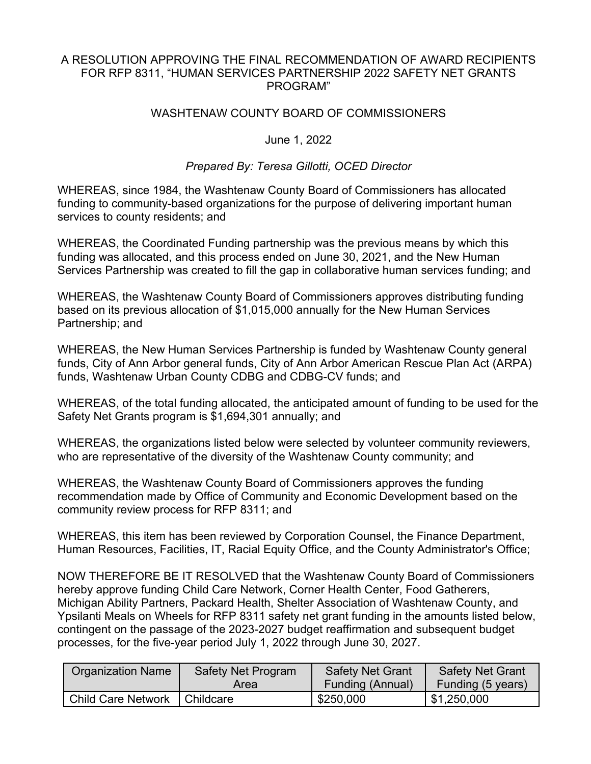## A RESOLUTION APPROVING THE FINAL RECOMMENDATION OF AWARD RECIPIENTS FOR RFP 8311, "HUMAN SERVICES PARTNERSHIP 2022 SAFETY NET GRANTS PROGRAM"

## WASHTENAW COUNTY BOARD OF COMMISSIONERS

## June 1, 2022

## *Prepared By: Teresa Gillotti, OCED Director*

WHEREAS, since 1984, the Washtenaw County Board of Commissioners has allocated funding to community-based organizations for the purpose of delivering important human services to county residents; and

WHEREAS, the Coordinated Funding partnership was the previous means by which this funding was allocated, and this process ended on June 30, 2021, and the New Human Services Partnership was created to fill the gap in collaborative human services funding; and

WHEREAS, the Washtenaw County Board of Commissioners approves distributing funding based on its previous allocation of \$1,015,000 annually for the New Human Services Partnership; and

WHEREAS, the New Human Services Partnership is funded by Washtenaw County general funds, City of Ann Arbor general funds, City of Ann Arbor American Rescue Plan Act (ARPA) funds, Washtenaw Urban County CDBG and CDBG-CV funds; and

WHEREAS, of the total funding allocated, the anticipated amount of funding to be used for the Safety Net Grants program is \$1,694,301 annually; and

WHEREAS, the organizations listed below were selected by volunteer community reviewers, who are representative of the diversity of the Washtenaw County community; and

WHEREAS, the Washtenaw County Board of Commissioners approves the funding recommendation made by Office of Community and Economic Development based on the community review process for RFP 8311; and

WHEREAS, this item has been reviewed by Corporation Counsel, the Finance Department, Human Resources, Facilities, IT, Racial Equity Office, and the County Administrator's Office;

NOW THEREFORE BE IT RESOLVED that the Washtenaw County Board of Commissioners hereby approve funding Child Care Network, Corner Health Center, Food Gatherers, Michigan Ability Partners, Packard Health, Shelter Association of Washtenaw County, and Ypsilanti Meals on Wheels for RFP 8311 safety net grant funding in the amounts listed below, contingent on the passage of the 2023-2027 budget reaffirmation and subsequent budget processes, for the five-year period July 1, 2022 through June 30, 2027.

| <b>Crganization Name</b>  | <b>Safety Net Program</b> | <b>Safety Net Grant</b> | <b>Safety Net Grant</b> |
|---------------------------|---------------------------|-------------------------|-------------------------|
|                           | Area                      | <b>Funding (Annual)</b> | Funding (5 years)       |
| <b>Child Care Network</b> | I Childcare               | \$250,000               | 51,250,000              |